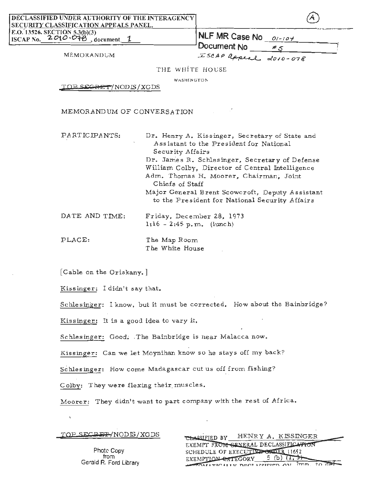DECLASSIFIED UNDER AUTHORITY OF THE INTERAGENCY SECURITY CLASSIFICATION APPEALS PANEL.

E.O. 13526, SECTION 5.3(b)(3)<br> **NLF MR Case No 01-104** ISCAP No. **2010-078**, document.

Document No  $*_{5}$ MEMORANDUM ESCAP appeal 2010-078

THE WHITE HOUSE

WASHINGTON

TOP SEGRET/NODIS/XGDS

MEMORAND UM OF CONVERSATION

PARTICIPANTS: Dr. Henry A. Kissinger, Secretary of State and Assistant to the President for National Security Affairs Dr. James R. Schlesinger, Secretary of Defense William Colby, Director of Central Intelligence Adm. Thomas H. Moorer, Chairman; Joint Chiefs of Staff Major General Brent Scowcroft, Deputy Assistant to the President for National Security Affairs DATE AND TIME: Friday, December 28, 1973  $1:16 - 2:45 p.m.$  (lunch) PLACE: The Map Room

[Cable on the Oriskany. ]

Kissinger: I didn't say that.

Schlesinger: I know, but it must be corrected. How about the Bainbridge?

Kissinger: It is a good idea to vary it.

Schlesinger: Good; .The Bainbridge is near Malacca now.

Kissinger: Can we let Moynihan know so he stays off my back?

The White House

Schlesinger: How come Madagascar cut us off from fishing?

Colby: They were flexing their. muscles.

Moorer: They didn't want to part company with the rest of Africa.

TOP SFCRET/NODIS/XGDS

CLASSIFIED BY HENRY A. KISSINGER EXEMPT FROM GENERAL DECLASSIFICATION SCHEDULE OF EXECUTIVE CRIER 11652 EXEMPTION  $\epsilon$ ATEGORY 5 (b)  $(T, 3)$  $\overline{1\text{mn}}$ **WELFARE THE MENT APPERTY ONE** 

Photc Copy from Gerald R. Ford Library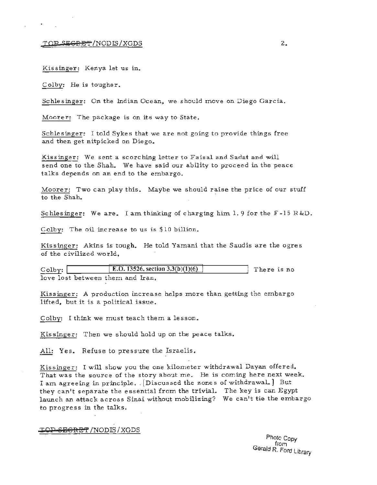## $\overline{TOP}$  since  $\overline{SP}$  and  $\overline{PS}$  is the set of  $\overline{SP}$  . The set of  $\overline{SP}$  is the set of  $\overline{SP}$  is the set of  $\overline{SP}$  is the set of  $\overline{SP}$  is the set of  $\overline{SP}$  is the set of  $\overline{SP}$  is the set of  $\overline{SP}$

Kissinger: Kenya let us in.

Colby: He is tougher.

Schlesinger: On the Indian Ocean, we should move on Diego Garcia.

Moorer: The package is on its way to State.

Schlesinger: I told Sykes that we are not going to provide things free and then get nitpicked on Diego.

Kissinger: We sent a scorching letter to Faisal and Sadat and will send one to the Shah. We have said our ability to proceed in the peace talks depends on an end to the embargo.

Moorer: Two can play this. Maybe we should raise the price of our stuff to the Shah.

Schlesinger: We are. I am thinking of charging him 1.9 for the  $F-15 R\&D$ .

Colby: The oil increase to us is \$10 billion.

Kissinger: Akins is tough. He told Yamani that the Saudis are the ogres of the civilized wo rld.

| $\circ$ olby: $\vert$ | [E.O. 13526, section 3.3(b)(1)(6) | There is no |  |
|-----------------------|-----------------------------------|-------------|--|
|                       | love lost between them and Iran.  |             |  |

Kissinger: A production increase helps more than getting the embargo lifted, but it is a political issue.

Colby: I think we must teach them a lesson.

Kissinger: Then we should hold up on the peace talks.

All: Yes. Refuse to pressure the Israelis.

Kissinger: I will show you the one kilometer withdrawal Dayan offered. That was the source of the story about me. He is coming here next week. I am agreeing in principle. . [Discussed the zones of withdrawal.] But they can't separate the essential from the trivial. The key is can Egypt launch an attack across Sinai without mobilizing? We can't tie the embargo to progress in the talks.

## **'I'OP i!i!EG'RE'f** /NODIS/XGDS

Phote<sub>Copy</sub> from Gerald *R.* Ford library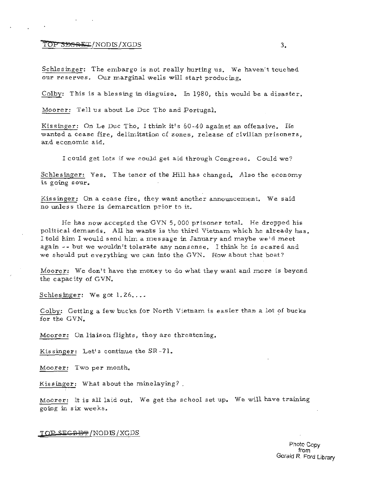### **1'6P SEGRET/NODIS/XGDS** 3.

Schlesinger: The embargo is not really hurting us. We haven't touched our reserves. Our marginal wells will start producing.

Colby: This is a blessing in disguise. In 1980, this would be a disaster.

Moorer: Tell us about Le Duc Tho and Portugal.

Kissinger: On Le Duc Tho, I think it's 60-40 against an offensive. He wanted a cease fire, delimitation of zones, release of civilian prisoners, and econ omic aid.

I could get lots if we could get aid through Congress. Could we?

Schlesinger: Yes. The tenor of the Hill has changed. Also the economy is going sour.

Kissinger: On a cease fire, they want another announcement. We said no unless there is demarcation prior to it.

He has now accepted the GVN 5,000 prisoner total. He dropped his political demands. All he wants is the third Vietnam which he already has. I told him I would send him a message in January and maybe we'd meet again - - but we wouldn't tolerate any nonsense. I think he is scared and we should put everything we can into the GVN. How about that boat?

Moorer: We don't have the money to do what they want and more is beyond the capacity of GVN.

Schlesinger: We got 1.26....

Colby: Getting a few bucks for North Vietnam is easier than a lot of bucks for the GVN.

Moorer: On liaison flights, they are threatening.

Kissinger: Let's continue the SR-71.

Moorer: Two per month.

Kissinger: What about the minelaying?.

Moorer: It is all laid out. We get the school set up. We will have training going in six weeks .

**T QP** EC~E'f' /NODJS/XGDS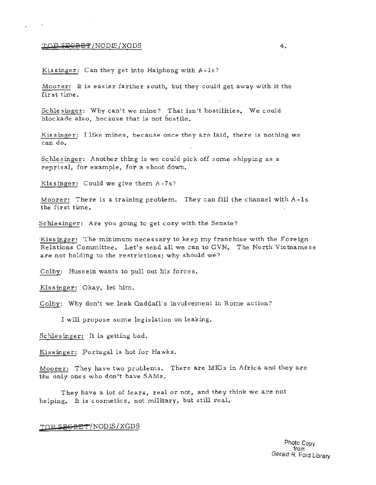### $\overline{LOP}$  secret /NODIS/XGDS  $4.$

Kissinger: Can they get into Haiphong with A-1s?

Moorer: It is easier farther south, but they could get away with it the fir st time .

Schlesinger: Why can't we mine? That isn't hostilities. We could blockade also, because that is not hostile.

Kissinger: I like mines, because once they are laid, there is nothing we can do.

Schlesinger: Another thing is we could pick off some shipping as a reprisal, for example, for a shoot down.

Kissinger: Could we give them A-7s?

Moorer: There is a training problem. They can fill the channel with A-ls the first time.

Schlesinger: Are you going to get cozy with the Senate?

Kissinger: The minimum necessary to keep my franchise with the Foreign Relations Committee. Let's send all we can to GVN. The North Vietnamese are not holding to the restrictions; why should we?

Colby: Hussein wants to pull out his forces.

Kissinger: Okay, let him.

Colby: Why don't we leak Qaddafi's involvement in Rome action?

I will propose some legislation on leaking.

Schlesinger: It is getting bad.

Kissinger: Portugal is hot for Hawks.

Moorer: They have two problems. There are MIGs in Africa and they are the only ones who don't have SAMs.

They have a lot of fears, real or not, and they think we are not helping. It is cosmetics, not military, but still real.

#### **,IDP** 'i?ECRE"r/NODIS/XGDS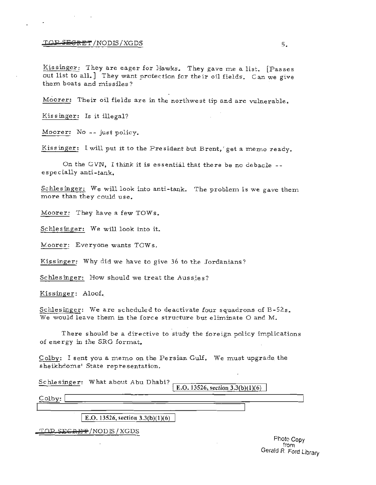# $\overline{LOP-SEGRET}}$ /NODE/XGDS s.

Kissinger: They are eager for Hawks. They gave me a list. [Passes out list to all.] They want protection for their oil fields. Can we give them boats and missiles?

Moorer: Their oil fields are in the northwest tip and are vulnerable.

Kissinger: Is it illegal?

Moorer: No -- just policy.

Kissinger: I will put it to the President but Brent, ' get a memo ready.

On the GVN, I think it is essential that there be no debacle -especially anti-tank.

Schlesinger: We will look into anti-tank. The problem is we gave them more than they could use.

Moorer: They have a few TOWs.

Schlesinger: We will look into it.

Moorer: Everyone wants TOWs.

Kissinger: Why did we have to give 36 to the Jordanians?

Schlesinger: How should we treat the Aussies?

Kissinger: Aloof.

Schlesinger: We are scheduled to deactivate four squadrons of B-52s. We would leave them in the force structure but eliminate  $O$  and  $M$ .

There should be a directive to study the foreign policy implications of energy in the SRG format.

Colby: I sent you a memo on the Persian Gulf. We must upgrade the sheikhdoms' State representation.

Schlesinger: What about Abu Dhabi?

E.O. 13526, section  $3.3(b)(1)(6)$ 

Colby:

E.O. 13526, section  $3.3(b)(1)(6)$ 

TOP SECRET / NODIS / XGDS

Photo Copy from Gerald R. Ford Library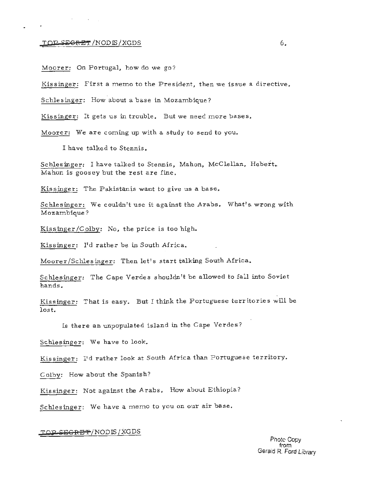## **TOP SEGRET** /NODIS/XGDS 6.

 $\sim 10^{-10}$ 

Moorer: On Portugal, how do we go?

Kissinger: First a memo to the President, then we issue a directive,

Schlesinger: How about a base in Mozambique ?

Kissinger: It gets us in trouble. But we need more bases.

Moorer: We are coming up with a study to send to you.

I have talked to Stennis.

Schlesinger: I have talked to Stennis, Mahon, McClellan, Hebert. Mahon is goosey but the rest are fine.

Kissinger: The Pakistanis want to give us a base.

Schlesinger: We couldn't use it against the Arabs. What's wrong with Mozambique ?

Kissinger/Colby: No, the price is too high.

Kissinger: I'd rather be in South Africa.

Moorer/Schlesinger: Then let's start talking South Africa.

Schlesinger: The Cape Verdes shouldn't be allowed to fall into Soviet hands.

Kissinger: That is easy. But I think the Portuguese territories will be lost.

*ls* there an unpopulated island in the Cape Verdes ?

Schlesinger: We have to look.

Kissinger: I'd rather look at South Africa than Portuguese territory.

Colby: How about the Spanish?

Kissinger: Not against the Arabs. How about Ethiopia?

Schlesinger: We have a memo to you on our air base.

## TOP SEGRET/NODIS<u>/XGDS</u>

Gerald R. Ford Library